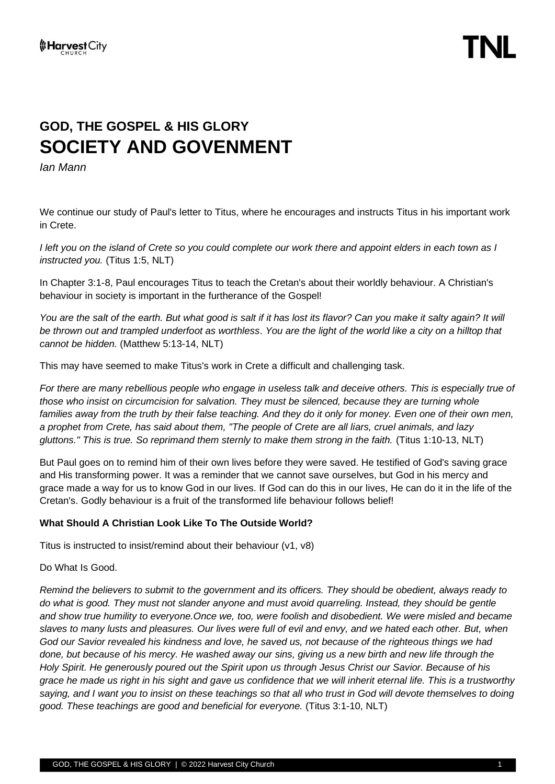# **GOD, THE GOSPEL & HIS GLORY SOCIETY AND GOVENMENT**

*Ian Mann*

We continue our study of Paul's letter to Titus, where he encourages and instructs Titus in his important work in Crete.

*I left you on the island of Crete so you could complete our work there and appoint elders in each town as I instructed you.* (Titus 1:5, NLT)

In Chapter 3:1-8, Paul encourages Titus to teach the Cretan's about their worldly behaviour. A Christian's behaviour in society is important in the furtherance of the Gospel!

You are the salt of the earth. But what good is salt if it has lost its flavor? Can you make it salty again? It will *be thrown out and trampled underfoot as worthless*. *You are the light of the world like a city on a hilltop that cannot be hidden.* (Matthew 5:13-14, NLT)

This may have seemed to make Titus's work in Crete a difficult and challenging task.

*For there are many rebellious people who engage in useless talk and deceive others. This is especially true of those who insist on circumcision for salvation. They must be silenced, because they are turning whole*  families away from the truth by their false teaching. And they do it only for money. Even one of their own men, *a prophet from Crete, has said about them, "The people of Crete are all liars, cruel animals, and lazy gluttons." This is true. So reprimand them sternly to make them strong in the faith.* (Titus 1:10-13, NLT)

But Paul goes on to remind him of their own lives before they were saved. He testified of God's saving grace and His transforming power. It was a reminder that we cannot save ourselves, but God in his mercy and grace made a way for us to know God in our lives. If God can do this in our lives, He can do it in the life of the Cretan's. Godly behaviour is a fruit of the transformed life behaviour follows belief!

## **What Should A Christian Look Like To The Outside World?**

Titus is instructed to insist/remind about their behaviour (v1, v8)

Do What Is Good.

*Remind the believers to submit to the government and its officers. They should be obedient, always ready to do what is good. They must not slander anyone and must avoid quarreling. Instead, they should be gentle and show true humility to everyone.Once we, too, were foolish and disobedient. We were misled and became slaves to many lusts and pleasures. Our lives were full of evil and envy, and we hated each other. But, when God our Savior revealed his kindness and love, he saved us, not because of the righteous things we had done, but because of his mercy. He washed away our sins, giving us a new birth and new life through the Holy Spirit. He generously poured out the Spirit upon us through Jesus Christ our Savior. Because of his grace he made us right in his sight and gave us confidence that we will inherit eternal life. This is a trustworthy saying, and I want you to insist on these teachings so that all who trust in God will devote themselves to doing good. These teachings are good and beneficial for everyone.* (Titus 3:1-10, NLT)